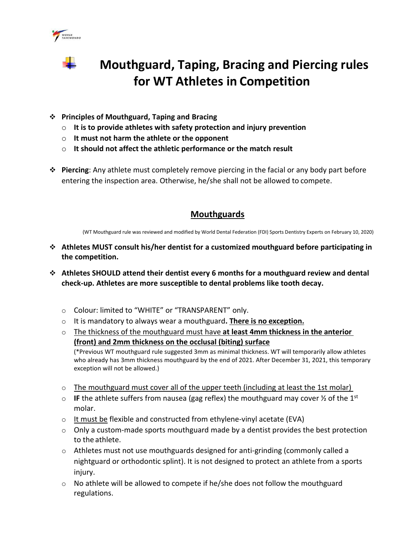



# **Mouthguard, Taping, Bracing and Piercing rules for WT Athletes in Competition**

- ❖ **Principles of Mouthguard, Taping and Bracing**
	- o **It is to provide athletes with safety protection and injury prevention**
	- o **It must not harm the athlete or the opponent**
	- o **It should not affect the athletic performance or the match result**
- ❖ **Piercing**: Any athlete must completely remove piercing in the facial or any body part before entering the inspection area. Otherwise, he/she shall not be allowed to compete.

## **Mouthguards**

(WT Mouthguard rule was reviewed and modified by World Dental Federation (FDI) Sports Dentistry Experts on February 10, 2020)

- ❖ **Athletes MUST consult his/her dentist for a customized mouthguard before participating in the competition.**
- ❖ **Athletes SHOULD attend their dentist every 6 months for a mouthguard review and dental check-up. Athletes are more susceptible to dental problems like tooth decay.** 
	- o Colour: limited to "WHITE" or "TRANSPARENT" only.
	- o It is mandatory to always wear a mouthguard**. There is no exception.**
	- o The thickness of the mouthguard must have **at least 4mm thickness in the anterior (front) and 2mm thickness on the occlusal (biting) surface**

(\*Previous WT mouthguard rule suggested 3mm as minimal thickness. WT will temporarily allow athletes who already has 3mm thickness mouthguard by the end of 2021. After December 31, 2021, this temporary exception will not be allowed.)

- $\circ$  The mouthguard must cover all of the upper teeth (including at least the 1st molar)
- o **IF** the athlete suffers from nausea (gag reflex) the mouthguard may cover 1/2 of the 1st molar.
- o It must be flexible and constructed from ethylene-vinyl acetate (EVA)
- o Only a custom-made sports mouthguard made by a dentist provides the best protection to the athlete.
- $\circ$  Athletes must not use mouthguards designed for anti-grinding (commonly called a nightguard or orthodontic splint). It is not designed to protect an athlete from a sports injury.
- $\circ$  No athlete will be allowed to compete if he/she does not follow the mouthguard regulations.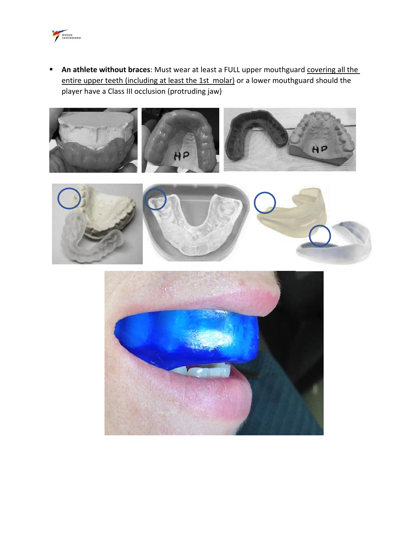

**E** An athlete without braces: Must wear at least a FULL upper mouthguard covering all the entire upper teeth (including at least the 1st molar) or a lower mouthguard should the player have a Class III occlusion (protruding jaw)





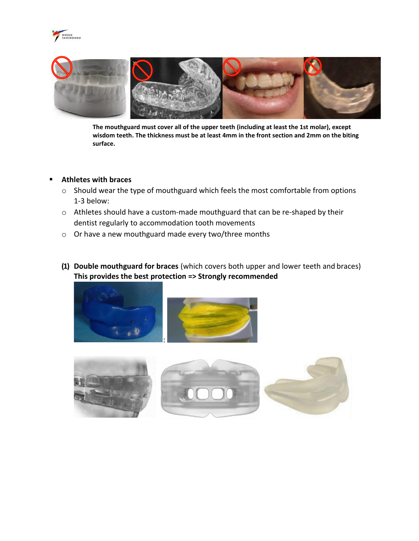



**The mouthguard must cover all of the upper teeth (including at least the 1st molar), except wisdom teeth. The thickness must be at least 4mm in the front section and 2mm on the biting surface.**

### ▪ **Athletes with braces**

- o Should wear the type of mouthguard which feels the most comfortable from options 1-3 below:
- o Athletes should have a custom-made mouthguard that can be re-shaped by their dentist regularly to accommodation tooth movements
- o Or have a new mouthguard made every two/three months
- **(1) Double mouthguard for braces** (which covers both upper and lower teeth and braces) **This provides the best protection => Strongly recommended**



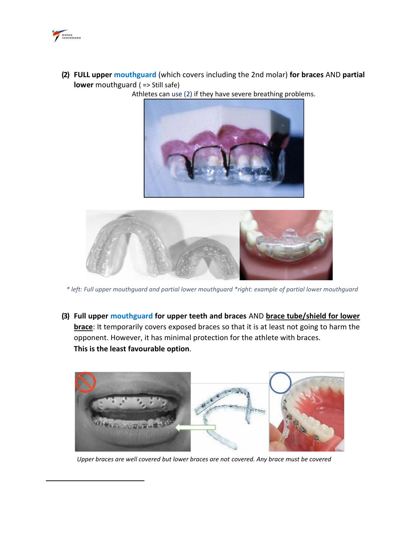

**(2) FULL upper mouthguard** (which covers including the 2nd molar) **for braces** AND **partial lower** mouthguard ( => Still safe)

Athletes can use (2) if they have severe breathing problems.





*\* left: Full upper mouthguard and partial lower mouthguard \*right: example of partial lower mouthguard*

**(3) Full upper mouthguard for upper teeth and braces** AND **brace tube/shield for lower brace**: It temporarily covers exposed braces so that it is at least not going to harm the opponent. However, it has minimal protection for the athlete with braces. **This is the least favourable option**.



*Upper braces are well covered but lower braces are not covered. Any brace must be covered*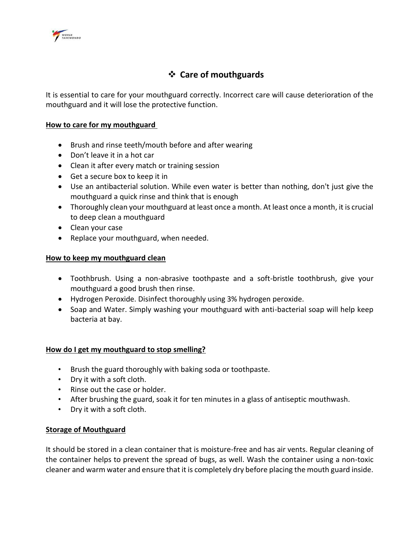

## ❖ **Care of mouthguards**

It is essential to care for your mouthguard correctly. Incorrect care will cause deterioration of the mouthguard and it will lose the protective function.

#### **How to care for my mouthguard**

- Brush and rinse teeth/mouth before and after wearing
- Don't leave it in a hot car
- Clean it after every match or training session
- Get a secure box to keep it in
- Use an antibacterial solution. While even water is better than nothing, don't just give the mouthguard a quick rinse and think that is enough
- Thoroughly clean your mouthguard at least once a month. At least once a month, it is crucial to deep clean a mouthguard
- Clean your case
- Replace your mouthguard, when needed.

#### **How to keep my mouthguard clean**

- Toothbrush. Using a non-abrasive toothpaste and a soft-bristle toothbrush, give your mouthguard a good brush then rinse.
- Hydrogen Peroxide. Disinfect thoroughly using 3% hydrogen peroxide.
- Soap and Water. Simply washing your mouthguard with anti-bacterial soap will help keep bacteria at bay.

### **How do I get my mouthguard to stop smelling?**

- Brush the guard thoroughly with baking soda or toothpaste.
- Dry it with a soft cloth.
- Rinse out the case or holder.
- After brushing the guard, soak it for ten minutes in a glass of antiseptic mouthwash.
- Dry it with a soft cloth.

#### **Storage of Mouthguard**

It should be stored in a clean container that is moisture-free and has air vents. Regular cleaning of the container helps to prevent the spread of bugs, as well. Wash the container using a non-toxic cleaner and warm water and ensure that it is completely dry before placing the mouth guard inside.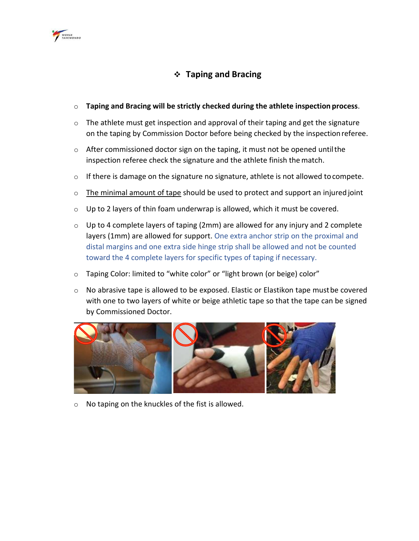

## ❖ **Taping and Bracing**

- o **Taping and Bracing will be strictly checked during the athlete inspection process**.
- $\circ$  The athlete must get inspection and approval of their taping and get the signature on the taping by Commission Doctor before being checked by the inspectionreferee.
- o After commissioned doctor sign on the taping, it must not be opened untilthe inspection referee check the signature and the athlete finish thematch.
- $\circ$  If there is damage on the signature no signature, athlete is not allowed to compete.
- o The minimal amount of tape should be used to protect and support an injured joint
- $\circ$  Up to 2 layers of thin foam underwrap is allowed, which it must be covered.
- $\circ$  Up to 4 complete layers of taping (2mm) are allowed for any injury and 2 complete layers (1mm) are allowed for support. One extra anchor strip on the proximal and distal margins and one extra side hinge strip shall be allowed and not be counted toward the 4 complete layers for specific types of taping if necessary.
- o Taping Color: limited to "white color" or "light brown (or beige) color"
- o No abrasive tape is allowed to be exposed. Elastic or Elastikon tape mustbe covered with one to two layers of white or beige athletic tape so that the tape can be signed by Commissioned Doctor.



o No taping on the knuckles of the fist is allowed.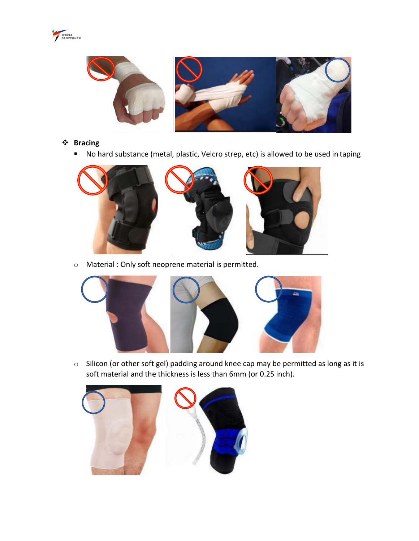



### ❖ **Bracing**

■ No hard substance (metal, plastic, Velcro strep, etc) is allowed to be used in taping



o Material : Only soft neoprene material is permitted.



o Silicon (or other soft gel) padding around knee cap may be permitted as long as it is soft material and the thickness is less than 6mm (or 0.25 inch).